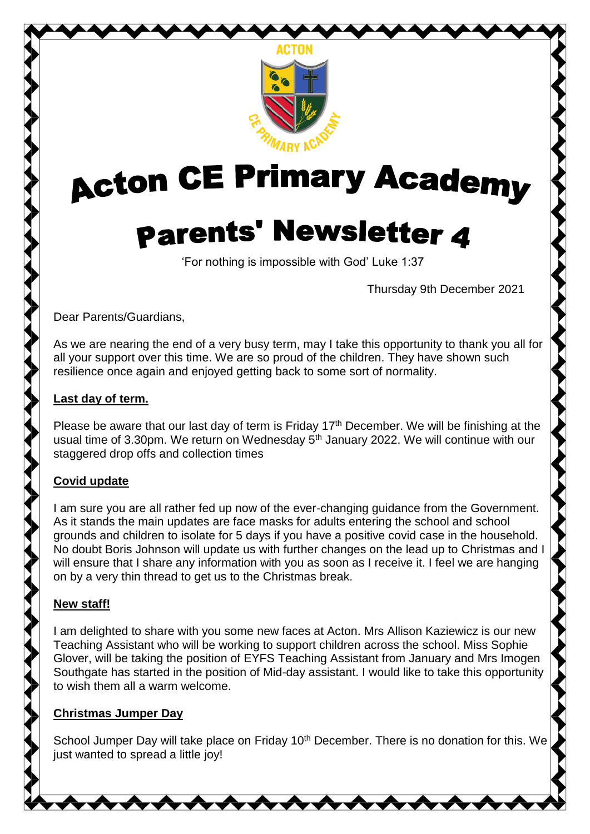

# **Acton CE Primary Academy**

# **Parents' Newsletter 4**

'For nothing is impossible with God' Luke 1:37

Thursday 9th December 2021

Dear Parents/Guardians,

As we are nearing the end of a very busy term, may I take this opportunity to thank you all for all your support over this time. We are so proud of the children. They have shown such resilience once again and enjoyed getting back to some sort of normality.

#### **Last day of term.**

Please be aware that our last day of term is Friday  $17<sup>th</sup>$  December. We will be finishing at the usual time of 3.30pm. We return on Wednesday 5<sup>th</sup> January 2022. We will continue with our staggered drop offs and collection times

# **Covid update**

I am sure you are all rather fed up now of the ever-changing guidance from the Government. As it stands the main updates are face masks for adults entering the school and school grounds and children to isolate for 5 days if you have a positive covid case in the household. No doubt Boris Johnson will update us with further changes on the lead up to Christmas and I will ensure that I share any information with you as soon as I receive it. I feel we are hanging on by a very thin thread to get us to the Christmas break.

# **New staff!**

I am delighted to share with you some new faces at Acton. Mrs Allison Kaziewicz is our new Teaching Assistant who will be working to support children across the school. Miss Sophie Glover, will be taking the position of EYFS Teaching Assistant from January and Mrs Imogen Southgate has started in the position of Mid-day assistant. I would like to take this opportunity to wish them all a warm welcome.

# **Christmas Jumper Day**

School Jumper Day will take place on Friday 10<sup>th</sup> December. There is no donation for this. We just wanted to spread a little joy!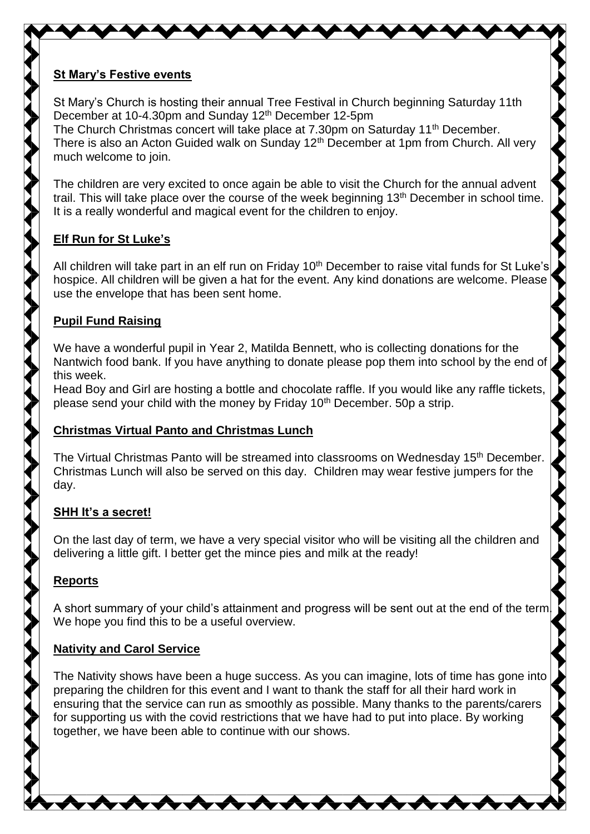#### **St Mary's Festive events**

St Mary's Church is hosting their annual Tree Festival in Church beginning Saturday 11th December at 10-4.30pm and Sunday 12th December 12-5pm The Church Christmas concert will take place at 7.30pm on Saturday 11<sup>th</sup> December. There is also an Acton Guided walk on Sunday  $12<sup>th</sup>$  December at 1pm from Church. All very much welcome to join.

The children are very excited to once again be able to visit the Church for the annual advent trail. This will take place over the course of the week beginning 13<sup>th</sup> December in school time. It is a really wonderful and magical event for the children to enjoy.

# **Elf Run for St Luke's**

All children will take part in an elf run on Friday 10<sup>th</sup> December to raise vital funds for St Luke's hospice. All children will be given a hat for the event. Any kind donations are welcome. Please use the envelope that has been sent home.

# **Pupil Fund Raising**

We have a wonderful pupil in Year 2, Matilda Bennett, who is collecting donations for the Nantwich food bank. If you have anything to donate please pop them into school by the end of this week.

Head Boy and Girl are hosting a bottle and chocolate raffle. If you would like any raffle tickets, please send your child with the money by Friday 10<sup>th</sup> December. 50p a strip.

# **Christmas Virtual Panto and Christmas Lunch**

The Virtual Christmas Panto will be streamed into classrooms on Wednesday 15<sup>th</sup> December. Christmas Lunch will also be served on this day. Children may wear festive jumpers for the day.

# **SHH It's a secret!**

On the last day of term, we have a very special visitor who will be visiting all the children and delivering a little gift. I better get the mince pies and milk at the ready!

# **Reports**

A short summary of your child's attainment and progress will be sent out at the end of the term. We hope you find this to be a useful overview.

# **Nativity and Carol Service**

The Nativity shows have been a huge success. As you can imagine, lots of time has gone into preparing the children for this event and I want to thank the staff for all their hard work in ensuring that the service can run as smoothly as possible. Many thanks to the parents/carers for supporting us with the covid restrictions that we have had to put into place. By working together, we have been able to continue with our shows.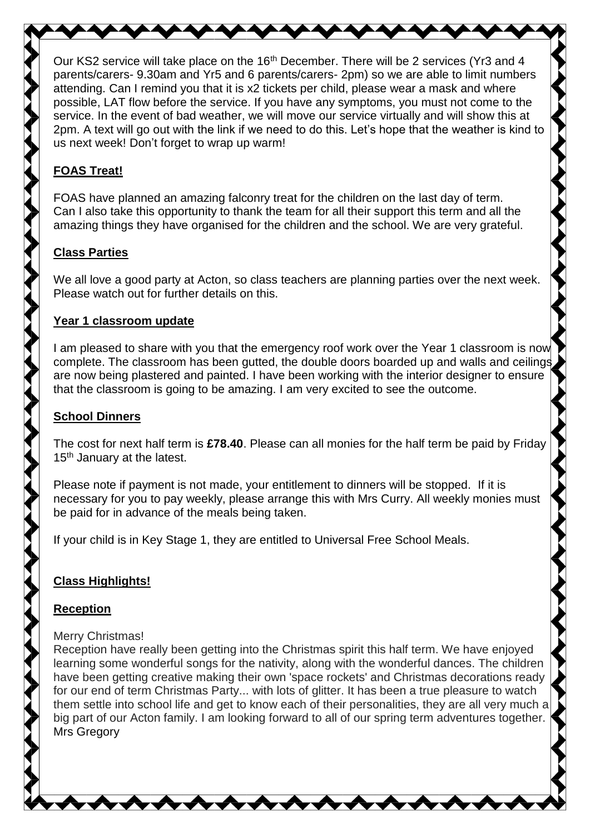Our KS2 service will take place on the 16<sup>th</sup> December. There will be 2 services (Yr3 and 4 parents/carers- 9.30am and Yr5 and 6 parents/carers- 2pm) so we are able to limit numbers attending. Can I remind you that it is x2 tickets per child, please wear a mask and where possible, LAT flow before the service. If you have any symptoms, you must not come to the service. In the event of bad weather, we will move our service virtually and will show this at 2pm. A text will go out with the link if we need to do this. Let's hope that the weather is kind to us next week! Don't forget to wrap up warm!

# **FOAS Treat!**

FOAS have planned an amazing falconry treat for the children on the last day of term. Can I also take this opportunity to thank the team for all their support this term and all the amazing things they have organised for the children and the school. We are very grateful.

# **Class Parties**

We all love a good party at Acton, so class teachers are planning parties over the next week. Please watch out for further details on this.

#### **Year 1 classroom update**

I am pleased to share with you that the emergency roof work over the Year 1 classroom is now complete. The classroom has been gutted, the double doors boarded up and walls and ceilings are now being plastered and painted. I have been working with the interior designer to ensure that the classroom is going to be amazing. I am very excited to see the outcome.

# **School Dinners**

The cost for next half term is **£78.40**. Please can all monies for the half term be paid by Friday 15<sup>th</sup> January at the latest.

Please note if payment is not made, your entitlement to dinners will be stopped. If it is necessary for you to pay weekly, please arrange this with Mrs Curry. All weekly monies must be paid for in advance of the meals being taken.

If your child is in Key Stage 1, they are entitled to Universal Free School Meals.

# **Class Highlights!**

#### **Reception**

#### Merry Christmas!

Reception have really been getting into the Christmas spirit this half term. We have enjoyed learning some wonderful songs for the nativity, along with the wonderful dances. The children have been getting creative making their own 'space rockets' and Christmas decorations ready for our end of term Christmas Party... with lots of glitter. It has been a true pleasure to watch them settle into school life and get to know each of their personalities, they are all very much a big part of our Acton family. I am looking forward to all of our spring term adventures together. Mrs Gregory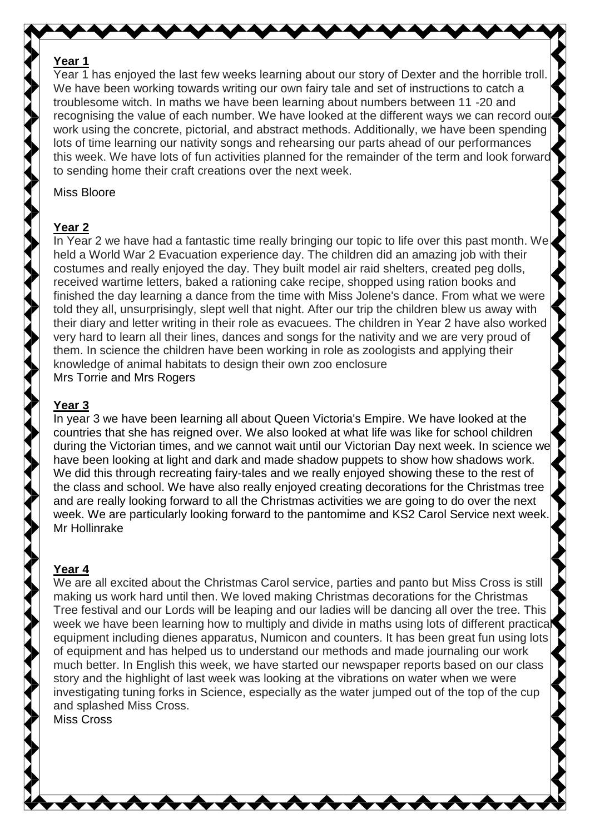#### **Year 1**

Year 1 has enjoyed the last few weeks learning about our story of Dexter and the horrible troll. We have been working towards writing our own fairy tale and set of instructions to catch a troublesome witch. In maths we have been learning about numbers between 11 -20 and recognising the value of each number. We have looked at the different ways we can record our work using the concrete, pictorial, and abstract methods. Additionally, we have been spending lots of time learning our nativity songs and rehearsing our parts ahead of our performances this week. We have lots of fun activities planned for the remainder of the term and look forward to sending home their craft creations over the next week.

#### Miss Bloore

#### **Year 2**

In Year 2 we have had a fantastic time really bringing our topic to life over this past month. We held a World War 2 Evacuation experience day. The children did an amazing job with their costumes and really enjoyed the day. They built model air raid shelters, created peg dolls, received wartime letters, baked a rationing cake recipe, shopped using ration books and finished the day learning a dance from the time with Miss Jolene's dance. From what we were told they all, unsurprisingly, slept well that night. After our trip the children blew us away with their diary and letter writing in their role as evacuees. The children in Year 2 have also worked very hard to learn all their lines, dances and songs for the nativity and we are very proud of them. In science the children have been working in role as zoologists and applying their knowledge of animal habitats to design their own zoo enclosure Mrs Torrie and Mrs Rogers

#### **Year 3**

In year 3 we have been learning all about Queen Victoria's Empire. We have looked at the countries that she has reigned over. We also looked at what life was like for school children during the Victorian times, and we cannot wait until our Victorian Day next week. In science we have been looking at light and dark and made shadow puppets to show how shadows work. We did this through recreating fairy-tales and we really enjoyed showing these to the rest of the class and school. We have also really enjoyed creating decorations for the Christmas tree and are really looking forward to all the Christmas activities we are going to do over the next week. We are particularly looking forward to the pantomime and KS2 Carol Service next week. Mr Hollinrake

#### **Year 4**

We are all excited about the Christmas Carol service, parties and panto but Miss Cross is still making us work hard until then. We loved making Christmas decorations for the Christmas Tree festival and our Lords will be leaping and our ladies will be dancing all over the tree. This week we have been learning how to multiply and divide in maths using lots of different practical equipment including dienes apparatus, Numicon and counters. It has been great fun using lots of equipment and has helped us to understand our methods and made journaling our work much better. In English this week, we have started our newspaper reports based on our class story and the highlight of last week was looking at the vibrations on water when we were investigating tuning forks in Science, especially as the water jumped out of the top of the cup and splashed Miss Cross.

Miss Cross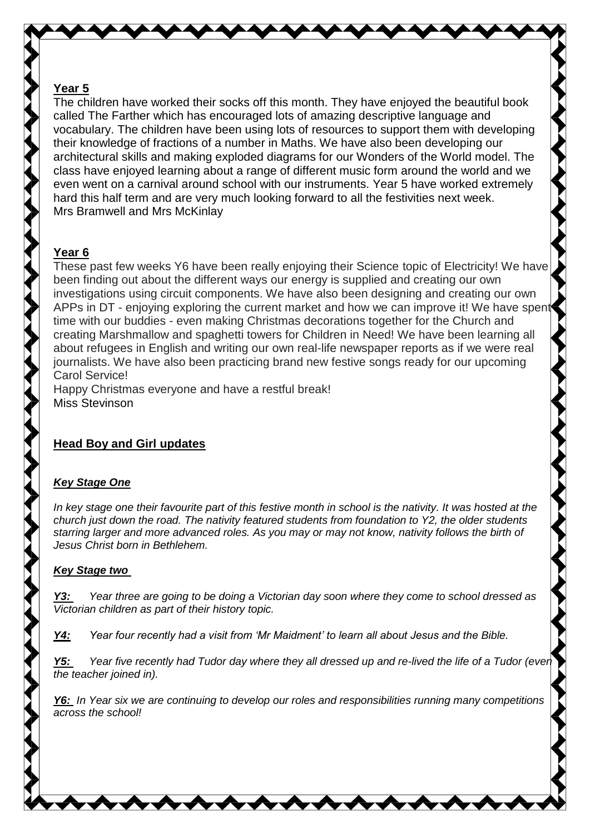#### **Year 5**

The children have worked their socks off this month. They have enjoyed the beautiful book called The Farther which has encouraged lots of amazing descriptive language and vocabulary. The children have been using lots of resources to support them with developing their knowledge of fractions of a number in Maths. We have also been developing our architectural skills and making exploded diagrams for our Wonders of the World model. The class have enjoyed learning about a range of different music form around the world and we even went on a carnival around school with our instruments. Year 5 have worked extremely hard this half term and are very much looking forward to all the festivities next week. Mrs Bramwell and Mrs McKinlay

#### **Year 6**

These past few weeks Y6 have been really enjoying their Science topic of Electricity! We have been finding out about the different ways our energy is supplied and creating our own investigations using circuit components. We have also been designing and creating our own APPs in DT - enjoying exploring the current market and how we can improve it! We have spent time with our buddies - even making Christmas decorations together for the Church and creating Marshmallow and spaghetti towers for Children in Need! We have been learning all about refugees in English and writing our own real-life newspaper reports as if we were real journalists. We have also been practicing brand new festive songs ready for our upcoming Carol Service!

Happy Christmas everyone and have a restful break! Miss Stevinson

#### **Head Boy and Girl updates**

#### *Key Stage One*

*In key stage one their favourite part of this festive month in school is the nativity. It was hosted at the church just down the road. The nativity featured students from foundation to Y2, the older students starring larger and more advanced roles. As you may or may not know, nativity follows the birth of Jesus Christ born in Bethlehem.*

#### *Key Stage two*

*Y3: Year three are going to be doing a Victorian day soon where they come to school dressed as Victorian children as part of their history topic.*

*Y4: Year four recently had a visit from 'Mr Maidment' to learn all about Jesus and the Bible.*

*Y5: Year five recently had Tudor day where they all dressed up and re-lived the life of a Tudor (even the teacher joined in).*

*Y6: In Year six we are continuing to develop our roles and responsibilities running many competitions across the school!*